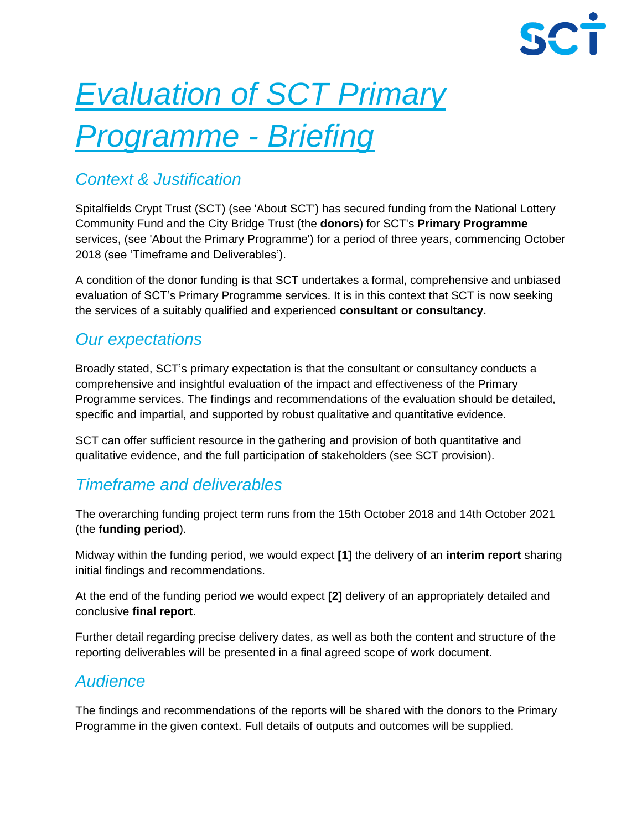# *Evaluation of SCT Primary Programme - Briefing*

# *Context & Justification*

Spitalfields Crypt Trust (SCT) (see 'About SCT') has secured funding from the National Lottery Community Fund and the City Bridge Trust (the **donors**) for SCT's **Primary Programme** services, (see 'About the Primary Programme') for a period of three years, commencing October 2018 (see 'Timeframe and Deliverables').

A condition of the donor funding is that SCT undertakes a formal, comprehensive and unbiased evaluation of SCT's Primary Programme services. It is in this context that SCT is now seeking the services of a suitably qualified and experienced **consultant or consultancy.**

# *Our expectations*

Broadly stated, SCT's primary expectation is that the consultant or consultancy conducts a comprehensive and insightful evaluation of the impact and effectiveness of the Primary Programme services. The findings and recommendations of the evaluation should be detailed, specific and impartial, and supported by robust qualitative and quantitative evidence.

SCT can offer sufficient resource in the gathering and provision of both quantitative and qualitative evidence, and the full participation of stakeholders (see SCT provision).

# *Timeframe and deliverables*

The overarching funding project term runs from the 15th October 2018 and 14th October 2021 (the **funding period**).

Midway within the funding period, we would expect **[1]** the delivery of an **interim report** sharing initial findings and recommendations.

At the end of the funding period we would expect **[2]** delivery of an appropriately detailed and conclusive **final report**.

Further detail regarding precise delivery dates, as well as both the content and structure of the reporting deliverables will be presented in a final agreed scope of work document.

# *Audience*

The findings and recommendations of the reports will be shared with the donors to the Primary Programme in the given context. Full details of outputs and outcomes will be supplied.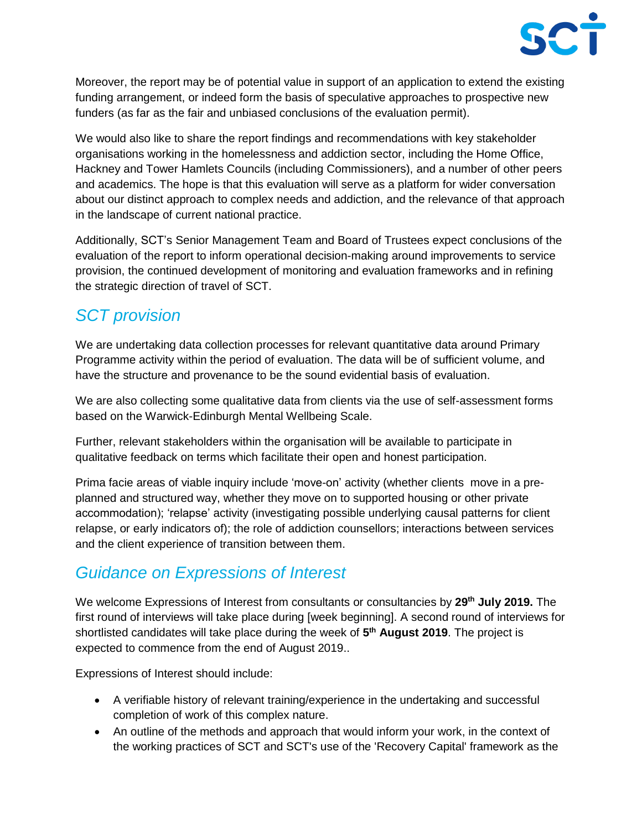

Moreover, the report may be of potential value in support of an application to extend the existing funding arrangement, or indeed form the basis of speculative approaches to prospective new funders (as far as the fair and unbiased conclusions of the evaluation permit).

We would also like to share the report findings and recommendations with key stakeholder organisations working in the homelessness and addiction sector, including the Home Office, Hackney and Tower Hamlets Councils (including Commissioners), and a number of other peers and academics. The hope is that this evaluation will serve as a platform for wider conversation about our distinct approach to complex needs and addiction, and the relevance of that approach in the landscape of current national practice.

Additionally, SCT's Senior Management Team and Board of Trustees expect conclusions of the evaluation of the report to inform operational decision-making around improvements to service provision, the continued development of monitoring and evaluation frameworks and in refining the strategic direction of travel of SCT.

# *SCT provision*

We are undertaking data collection processes for relevant quantitative data around Primary Programme activity within the period of evaluation. The data will be of sufficient volume, and have the structure and provenance to be the sound evidential basis of evaluation.

We are also collecting some qualitative data from clients via the use of self-assessment forms based on the Warwick-Edinburgh Mental Wellbeing Scale.

Further, relevant stakeholders within the organisation will be available to participate in qualitative feedback on terms which facilitate their open and honest participation.

Prima facie areas of viable inquiry include 'move-on' activity (whether clients move in a preplanned and structured way, whether they move on to supported housing or other private accommodation); 'relapse' activity (investigating possible underlying causal patterns for client relapse, or early indicators of); the role of addiction counsellors; interactions between services and the client experience of transition between them.

# *Guidance on Expressions of Interest*

We welcome Expressions of Interest from consultants or consultancies by **29th July 2019.** The first round of interviews will take place during [week beginning]. A second round of interviews for shortlisted candidates will take place during the week of **5 th August 2019**. The project is expected to commence from the end of August 2019..

Expressions of Interest should include:

- A verifiable history of relevant training/experience in the undertaking and successful completion of work of this complex nature.
- An outline of the methods and approach that would inform your work, in the context of the working practices of SCT and SCT's use of the 'Recovery Capital' framework as the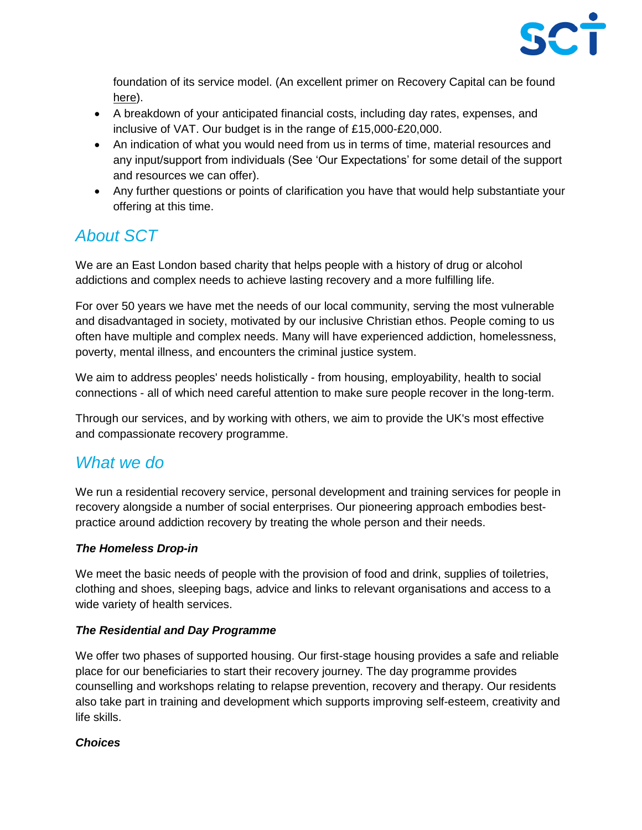

foundation of its service model. (An excellent primer on Recovery Capital can be found [here\)](https://www.thersa.org/globalassets/pdfs/blogs/a4-recovery-capital-230710-v5.pdf).

- A breakdown of your anticipated financial costs, including day rates, expenses, and inclusive of VAT. Our budget is in the range of £15,000-£20,000.
- An indication of what you would need from us in terms of time, material resources and any input/support from individuals (See 'Our Expectations' for some detail of the support and resources we can offer).
- Any further questions or points of clarification you have that would help substantiate your offering at this time.

# *About SCT*

We are an East London based charity that helps people with a history of drug or alcohol addictions and complex needs to achieve lasting recovery and a more fulfilling life.

For over 50 years we have met the needs of our local community, serving the most vulnerable and disadvantaged in society, motivated by our inclusive Christian ethos. People coming to us often have multiple and complex needs. Many will have experienced addiction, homelessness, poverty, mental illness, and encounters the criminal justice system.

We aim to address peoples' needs holistically - from housing, employability, health to social connections - all of which need careful attention to make sure people recover in the long-term.

Through our services, and by working with others, we aim to provide the UK's most effective and compassionate recovery programme.

# *What we do*

We run a residential recovery service, personal development and training services for people in recovery alongside a number of social enterprises. Our pioneering approach embodies bestpractice around addiction recovery by treating the whole person and their needs.

### *The Homeless Drop-in*

We meet the basic needs of people with the provision of food and drink, supplies of toiletries, clothing and shoes, sleeping bags, advice and links to relevant organisations and access to a wide variety of health services.

#### *The Residential and Day Programme*

We offer two phases of supported housing. Our first-stage housing provides a safe and reliable place for our beneficiaries to start their recovery journey. The day programme provides counselling and workshops relating to relapse prevention, recovery and therapy. Our residents also take part in training and development which supports improving self-esteem, creativity and life skills.

### *Choices*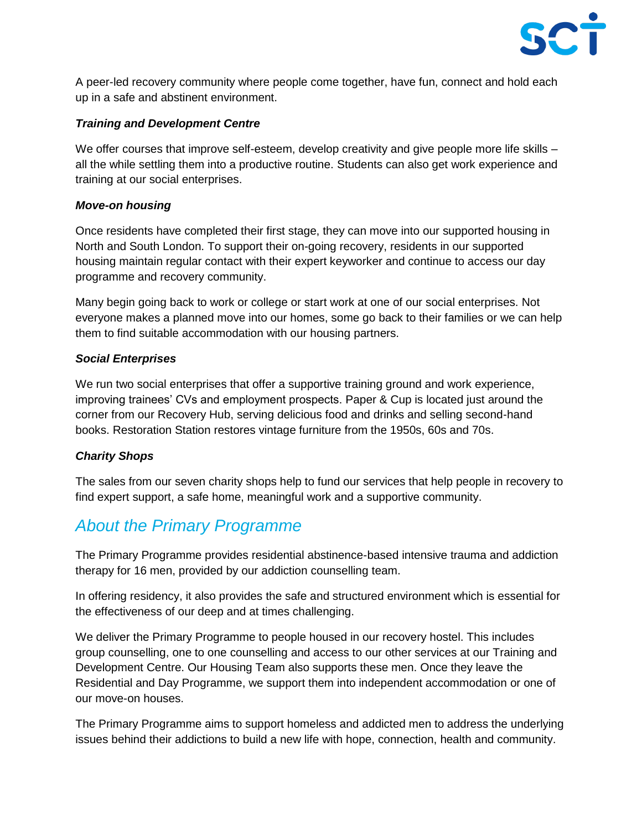

A peer-led recovery community where people come together, have fun, connect and hold each up in a safe and abstinent environment.

#### *Training and Development Centre*

We offer courses that improve self-esteem, develop creativity and give people more life skills – all the while settling them into a productive routine. Students can also get work experience and training at our social enterprises.

#### *Move-on housing*

Once residents have completed their first stage, they can move into our supported housing in North and South London. To support their on-going recovery, residents in our supported housing maintain regular contact with their expert keyworker and continue to access our day programme and recovery community.

Many begin going back to work or college or start work at one of our social enterprises. Not everyone makes a planned move into our homes, some go back to their families or we can help them to find suitable accommodation with our housing partners.

#### *Social Enterprises*

We run two social enterprises that offer a supportive training ground and work experience, improving trainees' CVs and employment prospects. Paper & Cup is located just around the corner from our Recovery Hub, serving delicious food and drinks and selling second-hand books. Restoration Station restores vintage furniture from the 1950s, 60s and 70s.

#### *Charity Shops*

The sales from our seven charity shops help to fund our services that help people in recovery to find expert support, a safe home, meaningful work and a supportive community.

## *About the Primary Programme*

The Primary Programme provides residential abstinence-based intensive trauma and addiction therapy for 16 men, provided by our addiction counselling team.

In offering residency, it also provides the safe and structured environment which is essential for the effectiveness of our deep and at times challenging.

We deliver the Primary Programme to people housed in our recovery hostel. This includes group counselling, one to one counselling and access to our other services at our Training and Development Centre. Our Housing Team also supports these men. Once they leave the Residential and Day Programme, we support them into independent accommodation or one of our move-on houses.

The Primary Programme aims to support homeless and addicted men to address the underlying issues behind their addictions to build a new life with hope, connection, health and community.